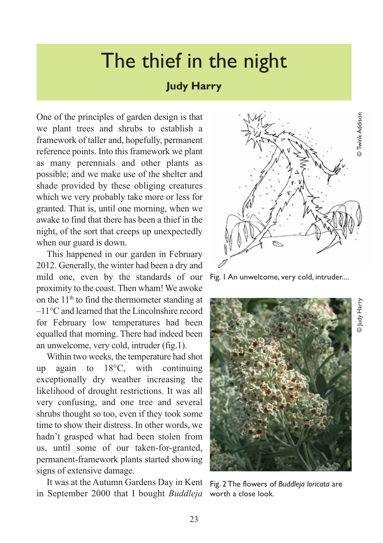## The thief in the night

## **Judy Harry**

One of the principles of garden design is that we plant trees and shrubs to establish a framework of taller and, hopefully, permanent reference points. Into this framework we plant as many perennials and other plants as possible; and we make use of the shelter and shade provided by these obliging creatures which we very probably take more or less for granted. That is, until one morning, when we awake to find that there has been a thief in the night, of the sort that creeps up unexpectedly when our guard is down.

This happened in our garden in February 2012. Generally, the winter had been a dry and mild one, even by the standards of our proximity to the coast. Then wham! We awoke on the  $11<sup>th</sup>$  to find the thermometer standing at –11°C and learned that the Lincolnshire record for February low temperatures had been equalled that morning. There had indeed been an unwelcome, very cold, intruder (fig.1).

Within two weeks, the temperature had shot up again to 18°C, with continuing exceptionally dry weather increasing the likelihood of drought restrictions. It was all very confusing, and one tree and several shrubs thought so too, even if they took some time to show their distress. In other words, we hadn't grasped what had been stolen from us, until some of our taken-for-granted, permanent-framework plants started showing signs of extensive damage.

It was at the Autumn Gardens Day in Kent in September 2000 that I bought *Buddleja*







Fig. 2 The flowers of *Buddleja loricata* are worth a close look.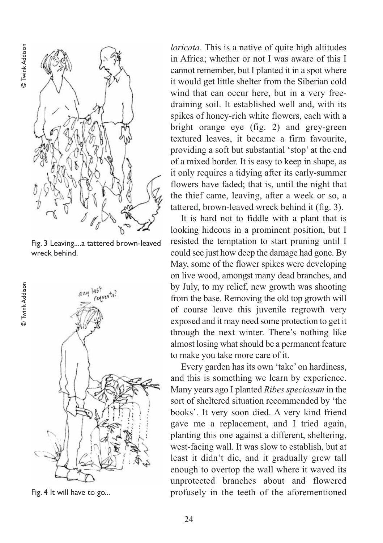

Fig. 3 Leaving....a tattered brown-leaved wreck behind.



Fig. 4 It will have to go...

*loricata*. This is a native of quite high altitudes in Africa; whether or not I was aware of this I cannot remember, but I planted it in a spot where it would get little shelter from the Siberian cold wind that can occur here, but in a very freedraining soil. It established well and, with its spikes of honey-rich white flowers, each with a bright orange eye (fig. 2) and grey-green textured leaves, it became a firm favourite, providing a soft but substantial 'stop' at the end of a mixed border. It is easy to keep in shape, as it only requires a tidying after its early-summer flowers have faded; that is, until the night that the thief came, leaving, after a week or so, a tattered, brown-leaved wreck behind it (fig. 3).

It is hard not to fiddle with a plant that is looking hideous in a prominent position, but I resisted the temptation to start pruning until I could see just how deep the damage had gone. By May, some of the flower spikes were developing on live wood, amongst many dead branches, and by July, to my relief, new growth was shooting from the base. Removing the old top growth will of course leave this juvenile regrowth very exposed and it may need some protection to get it through the next winter. There's nothing like almost losing what should be a permanent feature to make you take more care of it.

Every garden has its own 'take' on hardiness, and this is something we learn by experience. Many years ago I planted *Ribes speciosum* in the sort of sheltered situation recommended by 'the books'. It very soon died. A very kind friend gave me a replacement, and I tried again, planting this one against a different, sheltering, west-facing wall. It was slow to establish, but at least it didn't die, and it gradually grew tall enough to overtop the wall where it waved its unprotected branches about and flowered profusely in the teeth of the aforementioned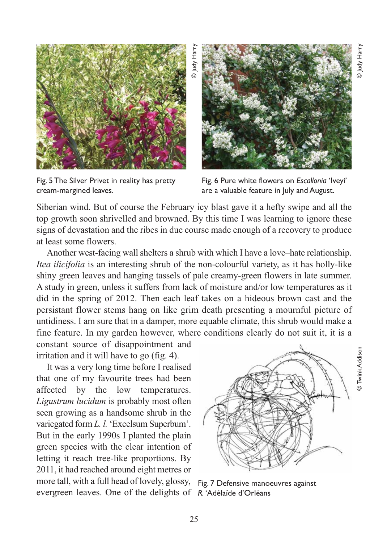

Fig. 5 The Silver Privet in reality has pretty cream-margined leaves.



Fig. 6 Pure white flowers on *Escallonia* 'Iveyi' are a valuable feature in July and August.

Siberian wind. But of course the February icy blast gave it a hefty swipe and all the top growth soon shrivelled and browned. By this time I was learning to ignore these signs of devastation and the ribes in due course made enough of a recovery to produce at least some flowers.

Another west-facing wall shelters a shrub with which I have a love–hate relationship. *Itea ilicifolia* is an interesting shrub of the non-colourful variety, as it has holly-like shiny green leaves and hanging tassels of pale creamy-green flowers in late summer. A study in green, unless it suffers from lack of moisture and/or low temperatures as it did in the spring of 2012. Then each leaf takes on a hideous brown cast and the persistant flower stems hang on like grim death presenting a mournful picture of untidiness. I am sure that in a damper, more equable climate, this shrub would make a fine feature. In my garden however, where conditions clearly do not suit it, it is a

constant source of disappointment and irritation and it will have to go (fig. 4).

It was a very long time before I realised that one of my favourite trees had been affected by the low temperatures. *Ligustrum lucidum* is probably most often seen growing as a handsome shrub in the variegated form *L. l.* 'Excelsum Superbum'. But in the early 1990s I planted the plain green species with the clear intention of letting it reach tree-like proportions. By 2011, it had reached around eight metres or more tall, with a full head of lovely, glossy, evergreen leaves. One of the delights of *R.* 'Adélaïde d'Orléans



Fig. 7 Defensive manoeuvres against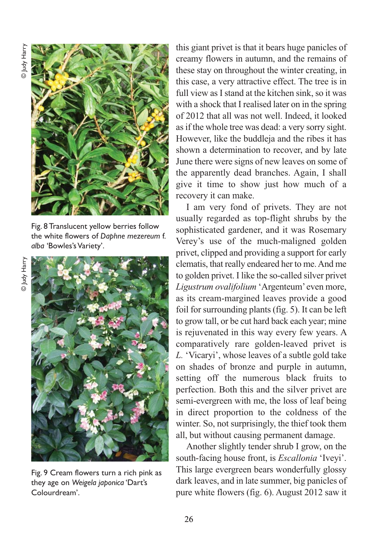

Fig. 8 Translucent yellow berries follow the white flowers of *Daphne mezereum* f*. alba* 'Bowles's Variety'.



Fig. 9 Cream flowers turn a rich pink as they age on *Weigela japonica* 'Dart's Colourdream'.

this giant privet is that it bears huge panicles of creamy flowers in autumn, and the remains of these stay on throughout the winter creating, in this case, a very attractive effect. The tree is in full view as I stand at the kitchen sink, so it was with a shock that I realised later on in the spring of 2012 that all was not well. Indeed, it looked as if the whole tree was dead: a very sorry sight. However, like the buddleja and the ribes it has shown a determination to recover, and by late June there were signs of new leaves on some of the apparently dead branches. Again, I shall give it time to show just how much of a recovery it can make.

I am very fond of privets. They are not usually regarded as top-flight shrubs by the sophisticated gardener, and it was Rosemary Verey's use of the much-maligned golden privet, clipped and providing a support for early clematis, that really endeared her to me. And me to golden privet. I like the so-called silver privet *Ligustrum ovalifolium* 'Argenteum' even more, as its cream-margined leaves provide a good foil for surrounding plants (fig. 5). It can be left to grow tall, or be cut hard back each year; mine is rejuvenated in this way every few years. A comparatively rare golden-leaved privet is *L.* 'Vicaryi', whose leaves of a subtle gold take on shades of bronze and purple in autumn, setting off the numerous black fruits to perfection. Both this and the silver privet are semi-evergreen with me, the loss of leaf being in direct proportion to the coldness of the winter. So, not surprisingly, the thief took them all, but without causing permanent damage.

Another slightly tender shrub I grow, on the south-facing house front, is *Escallonia* 'Iveyi'. This large evergreen bears wonderfully glossy dark leaves, and in late summer, big panicles of pure white flowers (fig. 6). August 2012 saw it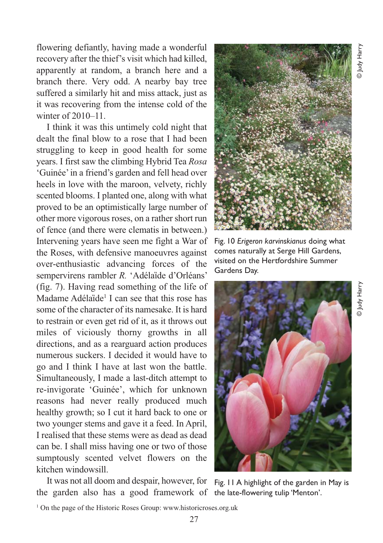© Judy Harry

D Judy Harr)

flowering defiantly, having made a wonderful recovery after the thief's visit which had killed, apparently at random, a branch here and a branch there. Very odd. A nearby bay tree suffered a similarly hit and miss attack, just as it was recovering from the intense cold of the winter of 2010–11.

I think it was this untimely cold night that dealt the final blow to a rose that I had been struggling to keep in good health for some years. I first saw the climbing Hybrid Tea *Rosa* 'Guinée' in a friend's garden and fell head over heels in love with the maroon, velvety, richly scented blooms. I planted one, along with what proved to be an optimistically large number of other more vigorous roses, on a rather short run of fence (and there were clematis in between.) Intervening years have seen me fight a War of the Roses, with defensive manoeuvres against over-enthusiastic advancing forces of the sempervirens rambler *R*. 'Adélaïde d'Orléans' (fig. 7). Having read something of the life of Madame Adélaïde<sup>1</sup> I can see that this rose has some of the character of its namesake. It is hard to restrain or even get rid of it, as it throws out miles of viciously thorny growths in all directions, and as a rearguard action produces numerous suckers. I decided it would have to go and I think I have at last won the battle. Simultaneously, I made a last-ditch attempt to re-invigorate 'Guinée', which for unknown reasons had never really produced much healthy growth; so I cut it hard back to one or two younger stems and gave it a feed. In April, I realised that these stems were as dead as dead can be. I shall miss having one or two of those sumptously scented velvet flowers on the kitchen windowsill.

It was not all doom and despair, however, for the garden also has a good framework of the late-flowering tulip 'Menton'.



Fig. 10 *Erigeron karvinskianus* doing what comes naturally at Serge Hill Gardens, visited on the Hertfordshire Summer Gardens Day.



Fig. 11 A highlight of the garden in May is

<sup>&</sup>lt;sup>1</sup> On the page of the Historic Roses Group: www.historicroses.org.uk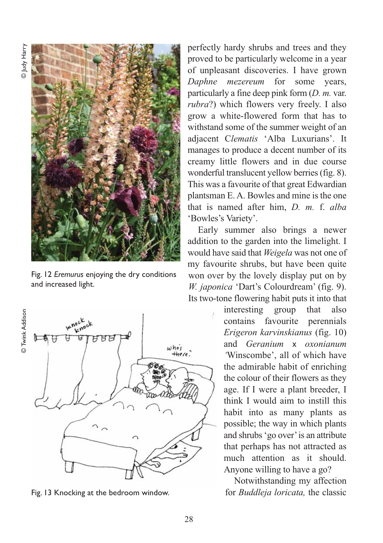© Twink Addison

**Twink Addison** 



Fig. 12 *Eremurus* enjoying the dry conditions and increased light.

ĦБ  $which is$  $therefore$ 

Fig. 13 Knocking at the bedroom window.

perfectly hardy shrubs and trees and they proved to be particularly welcome in a year of unpleasant discoveries. I have grown *Daphne mezereum* for some years, particularly a fine deep pink form (*D. m.* var. *rubra*?) which flowers very freely. I also grow a white-flowered form that has to withstand some of the summer weight of an adjacent C*lematis* 'Alba Luxurians'. It manages to produce a decent number of its creamy little flowers and in due course wonderful translucent yellow berries (fig. 8). This was a favourite of that great Edwardian plantsman E. A. Bowles and mine is the one that is named after him, *D. m.* f. *alba* 'Bowles's Variety'.

Early summer also brings a newer addition to the garden into the limelight. I would have said that *Weigela* was not one of my favourite shrubs, but have been quite won over by the lovely display put on by *W. japonica* 'Dart's Colourdream' (fig. 9). Its two-tone flowering habit puts it into that

> interesting group that also contains favourite perennials *Erigeron karvinskianus* (fig. 10) and *Geranium* x *oxonianum '*Winscombe', all of which have the admirable habit of enriching the colour of their flowers as they age. If I were a plant breeder, I think I would aim to instill this habit into as many plants as possible; the way in which plants and shrubs 'go over' is an attribute that perhaps has not attracted as much attention as it should. Anyone willing to have a go?

Notwithstanding my affection for *Buddleja loricata,* the classic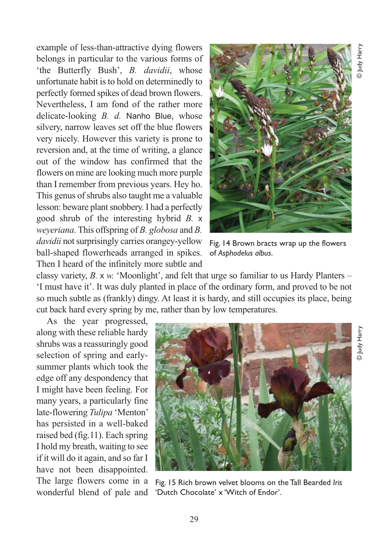example of less-than-attractive dying flowers belongs in particular to the various forms of 'the Butterfly Bush', *B. davidii*, whose unfortunate habit is to hold on determinedly to perfectly formed spikes of dead brown flowers. Nevertheless, I am fond of the rather more delicate-looking *B. d.* Nanho Blue, whose silvery, narrow leaves set off the blue flowers very nicely. However this variety is prone to reversion and, at the time of writing, a glance out of the window has confirmed that the flowers on mine are looking much more purple than I remember from previous years. Hey ho. This genus of shrubs also taught me a valuable lesson: beware plant snobbery. I had a perfectly good shrub of the interesting hybrid *B.* x *weyeriana*. This offspring of *B. globosa* and *B. davidii* not surprisingly carries orangey-yellow ball-shaped flowerheads arranged in spikes. Then I heard of the infinitely more subtle and



Fig. 14 Brown bracts wrap up the flowers of *Asphodelus albus*.

classy variety, *B.* x *w.* 'Moonlight', and felt that urge so familiar to us Hardy Planters – 'I must have it'. It was duly planted in place of the ordinary form, and proved to be not so much subtle as (frankly) dingy. At least it is hardy, and still occupies its place, being cut back hard every spring by me, rather than by low temperatures.

As the year progressed, along with these reliable hardy shrubs was a reassuringly good selection of spring and earlysummer plants which took the edge off any despondency that I might have been feeling. For many years, a particularly fine late-flowering *Tulipa* 'Menton' has persisted in a well-baked raised bed (fig.11). Each spring I hold my breath, waiting to see if it will do it again, and so far I have not been disappointed. The large flowers come in a wonderful blend of pale and



Fig. 15 Rich brown velvet blooms on the Tall Bearded *Iris* 'Dutch Chocolate' x 'Witch of Endor'.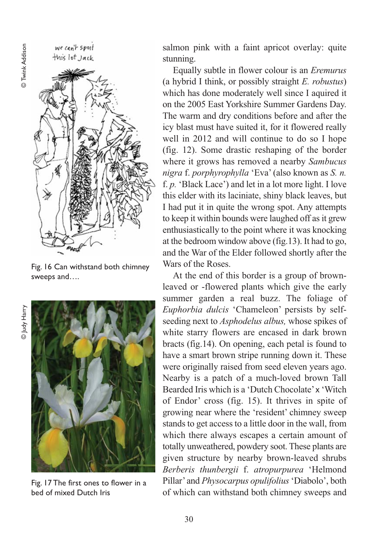

Fig. 16 Can withstand both chimney sweeps and….

o Judy Harry © Judy Harry



Fig. 17 The first ones to flower in a bed of mixed Dutch Iris

salmon pink with a faint apricot overlay: quite stunning.

Equally subtle in flower colour is an *Eremurus* (a hybrid I think, or possibly straight *E. robustus*) which has done moderately well since I aquired it on the 2005 East Yorkshire Summer Gardens Day. The warm and dry conditions before and after the icy blast must have suited it, for it flowered really well in 2012 and will continue to do so I hope (fig. 12). Some drastic reshaping of the border where it grows has removed a nearby *Sambucus nigra* f. *porphyrophylla* 'Eva' (also known as *S. n.* f. *p.* 'Black Lace') and let in a lot more light. I love this elder with its laciniate, shiny black leaves, but I had put it in quite the wrong spot. Any attempts to keep it within bounds were laughed off as it grew enthusiastically to the point where it was knocking at the bedroom window above (fig.13). It had to go, and the War of the Elder followed shortly after the Wars of the Roses.

At the end of this border is a group of brownleaved or -flowered plants which give the early summer garden a real buzz. The foliage of *Euphorbia dulcis* 'Chameleon' persists by selfseeding next to *Asphodelus albus,* whose spikes of white starry flowers are encased in dark brown bracts (fig.14). On opening, each petal is found to have a smart brown stripe running down it. These were originally raised from seed eleven years ago. Nearby is a patch of a much-loved brown Tall Bearded Iris which is a 'Dutch Chocolate' x 'Witch of Endor' cross (fig. 15). It thrives in spite of growing near where the 'resident' chimney sweep stands to get access to a little door in the wall, from which there always escapes a certain amount of totally unweathered, powdery soot. These plants are given structure by nearby brown-leaved shrubs *Berberis thunbergii* f. *atropurpurea* 'Helmond Pillar' and *Physocarpus opulifolius* 'Diabolo', both of which can withstand both chimney sweeps and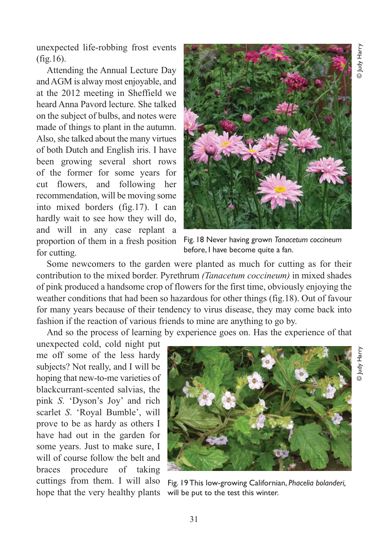unexpected life-robbing frost events (fig.16).

Attending the Annual Lecture Day and AGM is alway most enjoyable, and at the 2012 meeting in Sheffield we heard Anna Pavord lecture. She talked on the subject of bulbs, and notes were made of things to plant in the autumn. Also, she talked about the many virtues of both Dutch and English iris. I have been growing several short rows of the former for some years for cut flowers, and following her recommendation, will be moving some into mixed borders (fig.17). I can hardly wait to see how they will do, and will in any case replant a proportion of them in a fresh position for cutting.



Fig. 18 Never having grown *Tanacetum coccineum* before, I have become quite a fan.

Some newcomers to the garden were planted as much for cutting as for their contribution to the mixed border. Pyrethrum *(Tanacetum coccineum)* in mixed shades of pink produced a handsome crop of flowers for the first time, obviously enjoying the weather conditions that had been so hazardous for other things (fig.18). Out of favour for many years because of their tendency to virus disease, they may come back into fashion if the reaction of various friends to mine are anything to go by.

And so the process of learning by experience goes on. Has the experience of that

unexpected cold, cold night put me off some of the less hardy subjects? Not really, and I will be hoping that new-to-me varieties of blackcurrant-scented salvias, the pink *S*. 'Dyson's Joy' and rich scarlet *S*. 'Royal Bumble', will prove to be as hardy as others I have had out in the garden for some years. Just to make sure, I will of course follow the belt and braces procedure of taking cuttings from them. I will also hope that the very healthy plants



Fig. 19 This low-growing Californian, *Phacelia bolanderi,* will be put to the test this winter.